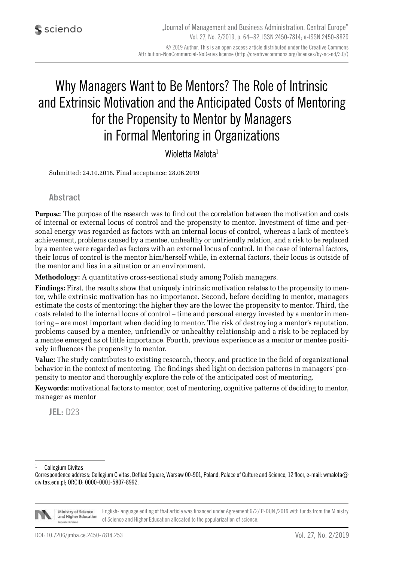# Why Managers Want to Be Mentors? The Role of Intrinsic and Extrinsic Motivation and the Anticipated Costs of Mentoring for the Propensity to Mentor by Managers in Formal Mentoring in Organizations

### Wioletta Małota<sup>1</sup>

Submitted: 24.10.2018. Final acceptance: 28.06.2019

#### **Abstract**

**Purpose:** The purpose of the research was to find out the correlation between the motivation and costs of internal or external locus of control and the propensity to mentor. Investment of time and personal energy was regarded as factors with an internal locus of control, whereas a lack of mentee's achievement, problems caused by a mentee, unhealthy or unfriendly relation, and a risk to be replaced by a mentee were regarded as factors with an external locus of control. In the case of internal factors, their locus of control is the mentor him/herself while, in external factors, their locus is outside of the mentor and lies in a situation or an environment.

**Methodology:** A quantitative cross-sectional study among Polish managers.

**Findings:** First, the results show that uniquely intrinsic motivation relates to the propensity to mentor, while extrinsic motivation has no importance. Second, before deciding to mentor, managers estimate the costs of mentoring: the higher they are the lower the propensity to mentor. Third, the costs related to the internal locus of control – time and personal energy invested by a mentor in mentoring – are most important when deciding to mentor. The risk of destroying a mentor's reputation, problems caused by a mentee, unfriendly or unhealthy relationship and a risk to be replaced by a mentee emerged as of little importance. Fourth, previous experience as a mentor or mentee positively influences the propensity to mentor.

**Value:** The study contributes to existing research, theory, and practice in the field of organizational behavior in the context of mentoring. The findings shed light on decision patterns in managers' propensity to mentor and thoroughly explore the role of the anticipated cost of mentoring.

**Keywords:** motivational factors to mentor, cost of mentoring, cognitive patterns of deciding to mentor, manager as mentor

**JEL:** D23

Collegium Civitas

Correspondence address: Collegium Civitas, Defilad Square, Warsaw 00-901, Poland, Palace of Culture and Science, 12 floor, e-mail: wmalota@ civitas.edu.pl; ORCID: 0000-0001-5807-8992.



English-language editing of that article was financed under Agreement 672/ P-DUN /2019 with funds from the Ministry Ministry of Science and Higher Education of Science and Higher Education allocated to the popularization of science.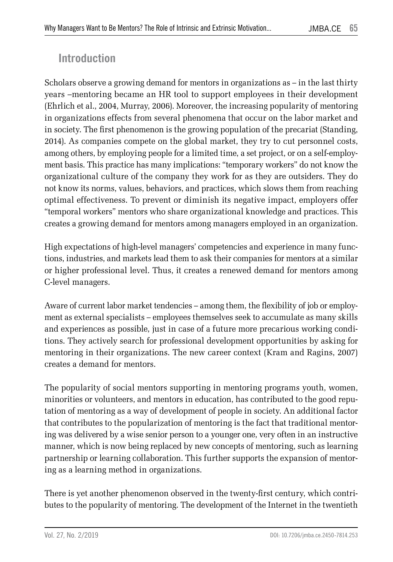## **Introduction**

Scholars observe a growing demand for mentors in organizations as – in the last thirty years –mentoring became an HR tool to support employees in their development (Ehrlich et al., 2004, Murray, 2006). Moreover, the increasing popularity of mentoring in organizations effects from several phenomena that occur on the labor market and in society. The first phenomenon is the growing population of the precariat (Standing, 2014). As companies compete on the global market, they try to cut personnel costs, among others, by employing people for a limited time, a set project, or on a self-employment basis. This practice has many implications: "temporary workers" do not know the organizational culture of the company they work for as they are outsiders. They do not know its norms, values, behaviors, and practices, which slows them from reaching optimal effectiveness. To prevent or diminish its negative impact, employers offer "temporal workers" mentors who share organizational knowledge and practices. This creates a growing demand for mentors among managers employed in an organization.

High expectations of high-level managers' competencies and experience in many functions, industries, and markets lead them to ask their companies for mentors at a similar or higher professional level. Thus, it creates a renewed demand for mentors among C-level managers.

Aware of current labor market tendencies – among them, the flexibility of job or employment as external specialists – employees themselves seek to accumulate as many skills and experiences as possible, just in case of a future more precarious working conditions. They actively search for professional development opportunities by asking for mentoring in their organizations. The new career context (Kram and Ragins, 2007) creates a demand for mentors.

The popularity of social mentors supporting in mentoring programs youth, women, minorities or volunteers, and mentors in education, has contributed to the good reputation of mentoring as a way of development of people in society. An additional factor that contributes to the popularization of mentoring is the fact that traditional mentoring was delivered by a wise senior person to a younger one, very often in an instructive manner, which is now being replaced by new concepts of mentoring, such as learning partnership or learning collaboration. This further supports the expansion of mentoring as a learning method in organizations.

There is yet another phenomenon observed in the twenty-first century, which contributes to the popularity of mentoring. The development of the Internet in the twentieth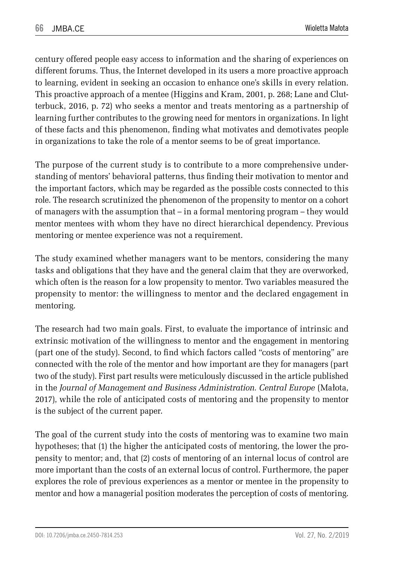century offered people easy access to information and the sharing of experiences on different forums. Thus, the Internet developed in its users a more proactive approach to learning, evident in seeking an occasion to enhance one's skills in every relation. This proactive approach of a mentee (Higgins and Kram, 2001, p. 268; Lane and Clutterbuck, 2016, p. 72) who seeks a mentor and treats mentoring as a partnership of learning further contributes to the growing need for mentors in organizations. In light of these facts and this phenomenon, finding what motivates and demotivates people in organizations to take the role of a mentor seems to be of great importance.

The purpose of the current study is to contribute to a more comprehensive understanding of mentors' behavioral patterns, thus finding their motivation to mentor and the important factors, which may be regarded as the possible costs connected to this role. The research scrutinized the phenomenon of the propensity to mentor on a cohort of managers with the assumption that – in a formal mentoring program – they would mentor mentees with whom they have no direct hierarchical dependency. Previous mentoring or mentee experience was not a requirement.

The study examined whether managers want to be mentors, considering the many tasks and obligations that they have and the general claim that they are overworked, which often is the reason for a low propensity to mentor. Two variables measured the propensity to mentor: the willingness to mentor and the declared engagement in mentoring.

The research had two main goals. First, to evaluate the importance of intrinsic and extrinsic motivation of the willingness to mentor and the engagement in mentoring (part one of the study). Second, to find which factors called "costs of mentoring" are connected with the role of the mentor and how important are they for managers (part two of the study). First part results were meticulously discussed in the article published in the *Journal of Management and Business Administration. Central Europe* (Małota, 2017), while the role of anticipated costs of mentoring and the propensity to mentor is the subject of the current paper.

The goal of the current study into the costs of mentoring was to examine two main hypotheses; that (1) the higher the anticipated costs of mentoring, the lower the propensity to mentor; and, that (2) costs of mentoring of an internal locus of control are more important than the costs of an external locus of control. Furthermore, the paper explores the role of previous experiences as a mentor or mentee in the propensity to mentor and how a managerial position moderates the perception of costs of mentoring.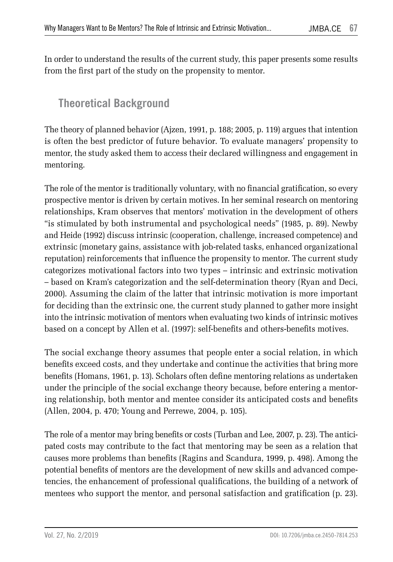In order to understand the results of the current study, this paper presents some results from the first part of the study on the propensity to mentor.

## **Theoretical Background**

The theory of planned behavior (Ajzen, 1991, p. 188; 2005, p. 119) argues that intention is often the best predictor of future behavior. To evaluate managers' propensity to mentor, the study asked them to access their declared willingness and engagement in mentoring.

The role of the mentor is traditionally voluntary, with no financial gratification, so every prospective mentor is driven by certain motives. In her seminal research on mentoring relationships, Kram observes that mentors' motivation in the development of others "is stimulated by both instrumental and psychological needs" (1985, p. 89). Newby and Heide (1992) discuss intrinsic (cooperation, challenge, increased competence) and extrinsic (monetary gains, assistance with job-related tasks, enhanced organizational reputation) reinforcements that influence the propensity to mentor. The current study categorizes motivational factors into two types – intrinsic and extrinsic motivation – based on Kram's categorization and the self-determination theory (Ryan and Deci, 2000). Assuming the claim of the latter that intrinsic motivation is more important for deciding than the extrinsic one, the current study planned to gather more insight into the intrinsic motivation of mentors when evaluating two kinds of intrinsic motives based on a concept by Allen et al. (1997): self-benefits and others-benefits motives.

The social exchange theory assumes that people enter a social relation, in which benefits exceed costs, and they undertake and continue the activities that bring more benefits (Homans, 1961, p. 13). Scholars often define mentoring relations as undertaken under the principle of the social exchange theory because, before entering a mentoring relationship, both mentor and mentee consider its anticipated costs and benefits (Allen, 2004, p. 470; Young and Perrewe, 2004, p. 105).

The role of a mentor may bring benefits or costs (Turban and Lee, 2007, p. 23). The anticipated costs may contribute to the fact that mentoring may be seen as a relation that causes more problems than benefits (Ragins and Scandura, 1999, p. 498). Among the potential benefits of mentors are the development of new skills and advanced competencies, the enhancement of professional qualifications, the building of a network of mentees who support the mentor, and personal satisfaction and gratification (p. 23).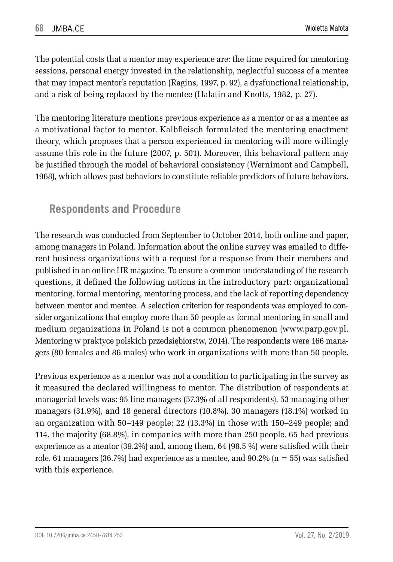The potential costs that a mentor may experience are: the time required for mentoring sessions, personal energy invested in the relationship, neglectful success of a mentee that may impact mentor's reputation (Ragins, 1997, p. 92), a dysfunctional relationship, and a risk of being replaced by the mentee (Halatin and Knotts, 1982, p. 27).

The mentoring literature mentions previous experience as a mentor or as a mentee as a motivational factor to mentor. Kalbfleisch formulated the mentoring enactment theory, which proposes that a person experienced in mentoring will more willingly assume this role in the future (2007, p. 501). Moreover, this behavioral pattern may be justified through the model of behavioral consistency (Wernimont and Campbell, 1968), which allows past behaviors to constitute reliable predictors of future behaviors.

## **Respondents and Procedure**

The research was conducted from September to October 2014, both online and paper, among managers in Poland. Information about the online survey was emailed to different business organizations with a request for a response from their members and published in an online HR magazine. To ensure a common understanding of the research questions, it defined the following notions in the introductory part: organizational mentoring, formal mentoring, mentoring process, and the lack of reporting dependency between mentor and mentee. A selection criterion for respondents was employed to consider organizations that employ more than 50 people as formal mentoring in small and medium organizations in Poland is not a common phenomenon (www.parp.gov.pl. Mentoring w praktyce polskich przedsiębiorstw, 2014). The respondents were 166 managers (80 females and 86 males) who work in organizations with more than 50 people.

Previous experience as a mentor was not a condition to participating in the survey as it measured the declared willingness to mentor. The distribution of respondents at managerial levels was: 95 line managers (57.3% of all respondents), 53 managing other managers (31.9%), and 18 general directors (10.8%). 30 managers (18.1%) worked in an organization with 50–149 people; 22 (13.3%) in those with 150–249 people; and 114, the majority (68.8%), in companies with more than 250 people. 65 had previous experience as a mentor (39.2%) and, among them, 64 (98.5 %) were satisfied with their role. 61 managers (36.7%) had experience as a mentee, and  $90.2\%$  (n = 55) was satisfied with this experience.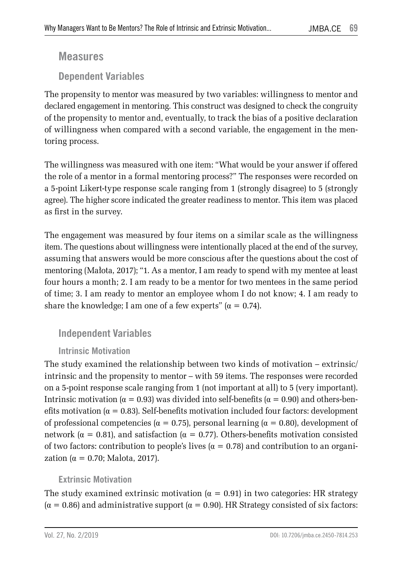#### **Measures**

**Dependent Variables** 

The propensity to mentor was measured by two variables: willingness to mentor and declared engagement in mentoring. This construct was designed to check the congruity of the propensity to mentor and, eventually, to track the bias of a positive declaration of willingness when compared with a second variable, the engagement in the mentoring process.

The willingness was measured with one item: "What would be your answer if offered the role of a mentor in a formal mentoring process?" The responses were recorded on a 5-point Likert-type response scale ranging from 1 (strongly disagree) to 5 (strongly agree). The higher score indicated the greater readiness to mentor. This item was placed as first in the survey.

The engagement was measured by four items on a similar scale as the willingness item. The questions about willingness were intentionally placed at the end of the survey, assuming that answers would be more conscious after the questions about the cost of mentoring (Małota, 2017); "1. As a mentor, I am ready to spend with my mentee at least four hours a month; 2. I am ready to be a mentor for two mentees in the same period of time; 3. I am ready to mentor an employee whom I do not know; 4. I am ready to share the knowledge; I am one of a few experts"  $(\alpha = 0.74)$ .

### **Independent Variables**

#### **Intrinsic Motivation**

The study examined the relationship between two kinds of motivation – extrinsic/ intrinsic and the propensity to mentor – with 59 items. The responses were recorded on a 5-point response scale ranging from 1 (not important at all) to 5 (very important). Intrinsic motivation ( $α = 0.93$ ) was divided into self-benefits ( $α = 0.90$ ) and others-benefits motivation ( $\alpha = 0.83$ ). Self-benefits motivation included four factors: development of professional competencies (α = 0.75), personal learning (α = 0.80), development of network (α = 0.81), and satisfaction (α = 0.77). Others-benefits motivation consisted of two factors: contribution to people's lives ( $\alpha = 0.78$ ) and contribution to an organization ( $\alpha = 0.70$ ; Malota, 2017).

#### **Extrinsic Motivation**

The study examined extrinsic motivation  $(\alpha = 0.91)$  in two categories: HR strategy  $(\alpha = 0.86)$  and administrative support  $(\alpha = 0.90)$ . HR Strategy consisted of six factors: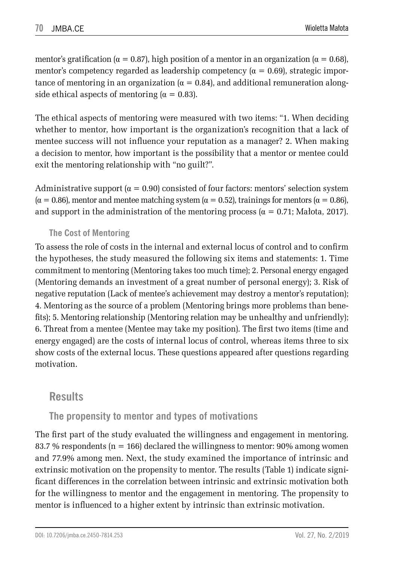mentor's gratification ( $\alpha = 0.87$ ), high position of a mentor in an organization ( $\alpha = 0.68$ ), mentor's competency regarded as leadership competency ( $\alpha = 0.69$ ), strategic importance of mentoring in an organization  $(\alpha = 0.84)$ , and additional remuneration alongside ethical aspects of mentoring  $(\alpha = 0.83)$ .

The ethical aspects of mentoring were measured with two items: "1. When deciding whether to mentor, how important is the organization's recognition that a lack of mentee success will not influence your reputation as a manager? 2. When making a decision to mentor, how important is the possibility that a mentor or mentee could exit the mentoring relationship with "no guilt?".

Administrative support ( $\alpha = 0.90$ ) consisted of four factors: mentors' selection system  $(\alpha = 0.86)$ , mentor and mentee matching system  $(\alpha = 0.52)$ , trainings for mentors  $(\alpha = 0.86)$ , and support in the administration of the mentoring process ( $\alpha = 0.71$ ; Małota, 2017).

#### **The Cost of Mentoring**

To assess the role of costs in the internal and external locus of control and to confirm the hypotheses, the study measured the following six items and statements: 1. Time commitment to mentoring (Mentoring takes too much time); 2. Personal energy engaged (Mentoring demands an investment of a great number of personal energy); 3. Risk of negative reputation (Lack of mentee's achievement may destroy a mentor's reputation); 4. Mentoring as the source of a problem (Mentoring brings more problems than benefits); 5. Mentoring relationship (Mentoring relation may be unhealthy and unfriendly); 6. Threat from a mentee (Mentee may take my position). The first two items (time and energy engaged) are the costs of internal locus of control, whereas items three to six show costs of the external locus. These questions appeared after questions regarding motivation.

### **Results**

#### **The propensity to mentor and types of motivations**

The first part of the study evaluated the willingness and engagement in mentoring. 83.7 % respondents ( $n = 166$ ) declared the willingness to mentor: 90% among women and 77.9% among men. Next, the study examined the importance of intrinsic and extrinsic motivation on the propensity to mentor. The results (Table 1) indicate significant differences in the correlation between intrinsic and extrinsic motivation both for the willingness to mentor and the engagement in mentoring. The propensity to mentor is influenced to a higher extent by intrinsic than extrinsic motivation.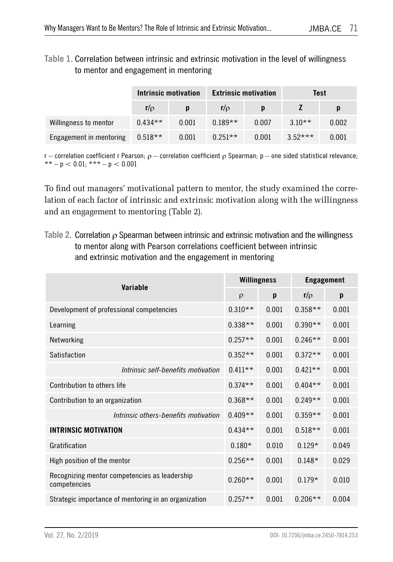**Table 1.** Correlation between intrinsic and extrinsic motivation in the level of willingness to mentor and engagement in mentoring

|                                   | Intrinsic motivation |       | <b>Extrinsic motivation</b> |       | Test      |       |  |
|-----------------------------------|----------------------|-------|-----------------------------|-------|-----------|-------|--|
|                                   | $r/\rho$             |       | $r/\rho$                    | D     |           | p     |  |
| Willingness to mentor             | $0.434**$            | 0.001 | $0.189**$                   | 0.007 | $3.10**$  | 0.002 |  |
| Engagement in mentoring $0.518**$ |                      | 0.001 | $0.251**$                   | 0.001 | $3.52***$ | 0.001 |  |

r – correlation coefficient r Pearson; ρ – correlation coefficient ρ Spearman; p – one sided statistical relevance; \*\* – p  $< 0.01$ ; \*\*\* – p  $< 0.001$ 

To find out managers' motivational pattern to mentor, the study examined the correlation of each factor of intrinsic and extrinsic motivation along with the willingness and an engagement to mentoring (Table 2).

**Table 2.** Correlation ρ Spearman between intrinsic and extrinsic motivation and the willingness to mentor along with Pearson correlations coefficient between intrinsic and extrinsic motivation and the engagement in mentoring

|                                                               | <b>Willingness</b> |       | <b>Engagement</b> |       |  |
|---------------------------------------------------------------|--------------------|-------|-------------------|-------|--|
| Variable                                                      | $\rho$             | p     | $r/\rho$          | p     |  |
| Development of professional competencies                      | $0.310**$          | 0.001 | $0.358**$         | 0.001 |  |
| Learning                                                      | $0.338**$          | 0.001 | $0.390**$         | 0.001 |  |
| Networking                                                    | $0.257**$          | 0.001 | $0.246**$         | 0.001 |  |
| Satisfaction                                                  | $0.352**$          | 0.001 | $0.372**$         | 0.001 |  |
| Intrinsic self-benefits motivation                            | $0.411**$          | 0.001 | $0.421**$         | 0.001 |  |
| Contribution to others life                                   | $0.374**$          | 0.001 | $0.404**$         | 0.001 |  |
| Contribution to an organization                               | $0.368**$          | 0.001 | $0.249**$         | 0.001 |  |
| Intrinsic others-benefits motivation                          | $0.409**$          | 0.001 | $0.359**$         | 0.001 |  |
| <b>INTRINSIC MOTIVATION</b>                                   | $0.434**$          | 0.001 | $0.518**$         | 0.001 |  |
| Gratification                                                 | $0.180*$           | 0.010 | $0.129*$          | 0.049 |  |
| High position of the mentor                                   | $0.256**$          | 0.001 | $0.148*$          | 0.029 |  |
| Recognizing mentor competencies as leadership<br>competencies | $0.260**$          | 0.001 | $0.179*$          | 0.010 |  |
| Strategic importance of mentoring in an organization          | $0.257**$          | 0.001 | $0.206**$         | 0.004 |  |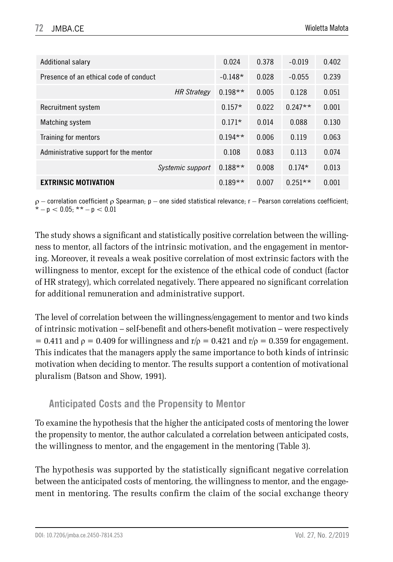| Additional salary                      |                    | 0.024     | 0.378 | $-0.019$  | 0.402 |
|----------------------------------------|--------------------|-----------|-------|-----------|-------|
| Presence of an ethical code of conduct |                    | $-0.148*$ | 0.028 | $-0.055$  | 0.239 |
|                                        | <b>HR Strategy</b> | $0.198**$ | 0.005 | 0.128     | 0.051 |
| Recruitment system                     |                    | $0.157*$  | 0.022 | $0.247**$ | 0.001 |
| Matching system                        |                    | $0.171*$  | 0.014 | 0.088     | 0.130 |
| Training for mentors                   |                    | $0.194**$ | 0.006 | 0.119     | 0.063 |
| Administrative support for the mentor  |                    | 0.108     | 0.083 | 0.113     | 0.074 |
|                                        | Systemic support   | $0.188**$ | 0.008 | $0.174*$  | 0.013 |
| <b>EXTRINSIC MOTIVATION</b>            |                    | $0.189**$ | 0.007 | $0.251**$ | 0.001 |

 $ρ$  – correlation coefficient  $ρ$  Spearman;  $p$  – one sided statistical relevance; r – Pearson correlations coefficient;  $-p < 0.05$ ; \*\*  $-p < 0.01$ 

The study shows a significant and statistically positive correlation between the willingness to mentor, all factors of the intrinsic motivation, and the engagement in mentoring. Moreover, it reveals a weak positive correlation of most extrinsic factors with the willingness to mentor, except for the existence of the ethical code of conduct (factor of HR strategy), which correlated negatively. There appeared no significant correlation for additional remuneration and administrative support.

The level of correlation between the willingness/engagement to mentor and two kinds of intrinsic motivation – self-benefit and others-benefit motivation – were respectively = 0.411 and  $\rho$  = 0.409 for willingness and r/ $\rho$  = 0.421 and r/ $\rho$  = 0.359 for engagement. This indicates that the managers apply the same importance to both kinds of intrinsic motivation when deciding to mentor. The results support a contention of motivational pluralism (Batson and Show, 1991).

### **Anticipated Costs and the Propensity to Mentor**

To examine the hypothesis that the higher the anticipated costs of mentoring the lower the propensity to mentor, the author calculated a correlation between anticipated costs, the willingness to mentor, and the engagement in the mentoring (Table 3).

The hypothesis was supported by the statistically significant negative correlation between the anticipated costs of mentoring, the willingness to mentor, and the engagement in mentoring. The results confirm the claim of the social exchange theory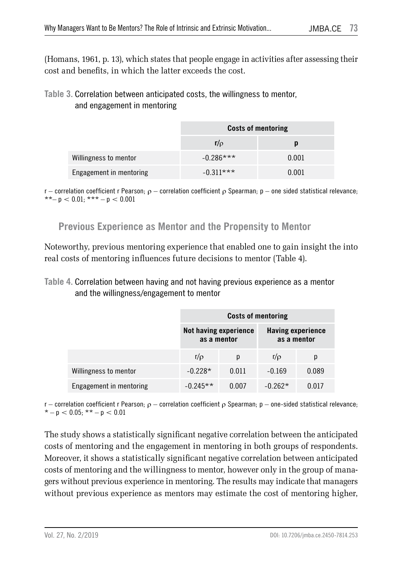(Homans, 1961, p. 13), which states that people engage in activities after assessing their cost and benefits, in which the latter exceeds the cost.

#### **Table 3.** Correlation between anticipated costs, the willingness to mentor, and engagement in mentoring

|                         | <b>Costs of mentoring</b> |       |  |  |  |
|-------------------------|---------------------------|-------|--|--|--|
|                         | $r/\rho$                  | D     |  |  |  |
| Willingness to mentor   | $-0.286***$               | 0.001 |  |  |  |
| Engagement in mentoring | $-0.311***$               | 0.001 |  |  |  |

r – correlation coefficient r Pearson;  $ρ$  – correlation coefficient  $ρ$  Spearman;  $p$  – one sided statistical relevance;  $***- p < 0.01$ :  $***- p < 0.001$ 

#### **Previous Experience as Mentor and the Propensity to Mentor**

Noteworthy, previous mentoring experience that enabled one to gain insight the into real costs of mentoring influences future decisions to mentor (Table 4).

**Table 4.** Correlation between having and not having previous experience as a mentor and the willingness/engagement to mentor

|                         |                                      | <b>Costs of mentoring</b> |                                         |       |
|-------------------------|--------------------------------------|---------------------------|-----------------------------------------|-------|
|                         | Not having experience<br>as a mentor |                           | <b>Having experience</b><br>as a mentor |       |
|                         | $r/\rho$                             | р                         | $r/\rho$                                | р     |
| Willingness to mentor   | $-0.228*$                            | 0.011                     | $-0.169$                                | 0.089 |
| Engagement in mentoring | $-0.245**$                           | 0.007                     | $-0.262*$                               | 0.017 |

r – correlation coefficient r Pearson;  $ρ$  – correlation coefficient  $ρ$  Spearman;  $p$  – one-sided statistical relevance;  $* - p < 0.05$ ;  $** - p < 0.01$ 

The study shows a statistically significant negative correlation between the anticipated costs of mentoring and the engagement in mentoring in both groups of respondents. Moreover, it shows a statistically significant negative correlation between anticipated costs of mentoring and the willingness to mentor, however only in the group of managers without previous experience in mentoring. The results may indicate that managers without previous experience as mentors may estimate the cost of mentoring higher,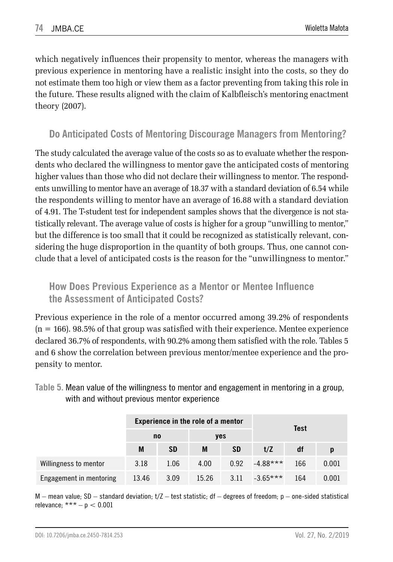which negatively influences their propensity to mentor, whereas the managers with previous experience in mentoring have a realistic insight into the costs, so they do not estimate them too high or view them as a factor preventing from taking this role in the future. These results aligned with the claim of Kalbfleisch's mentoring enactment theory (2007).

### **Do Anticipated Costs of Mentoring Discourage Managers from Mentoring?**

The study calculated the average value of the costs so as to evaluate whether the respondents who declared the willingness to mentor gave the anticipated costs of mentoring higher values than those who did not declare their willingness to mentor. The respondents unwilling to mentor have an average of 18.37 with a standard deviation of 6.54 while the respondents willing to mentor have an average of 16.88 with a standard deviation of 4.91. The T-student test for independent samples shows that the divergence is not statistically relevant. The average value of costs is higher for a group "unwilling to mentor," but the difference is too small that it could be recognized as statistically relevant, considering the huge disproportion in the quantity of both groups. Thus, one cannot conclude that a level of anticipated costs is the reason for the "unwillingness to mentor."

### **How Does Previous Experience as a Mentor or Mentee Influence the Assessment of Anticipated Costs?**

Previous experience in the role of a mentor occurred among 39.2% of respondents  $(n = 166)$ . 98.5% of that group was satisfied with their experience. Mentee experience declared 36.7% of respondents, with 90.2% among them satisfied with the role. Tables 5 and 6 show the correlation between previous mentor/mentee experience and the propensity to mentor.

**Table 5.** Mean value of the willingness to mentor and engagement in mentoring in a group, with and without previous mentor experience

|                         |       | Experience in the role of a mentor |       |           |            | <b>Test</b> |       |
|-------------------------|-------|------------------------------------|-------|-----------|------------|-------------|-------|
|                         | no    |                                    | yes   |           |            |             |       |
|                         | M     | <b>SD</b>                          | M     | <b>SD</b> | t/Z        | df          |       |
| Willingness to mentor   | 3.18  | 1.06                               | 4.00  | 0.92      | $-4.88***$ | 166         | 0.001 |
| Engagement in mentoring | 13.46 | 3.09                               | 15.26 | 3.11      | $-3.65***$ | 164         | 0.001 |

 $M$  – mean value; SD – standard deviation;  $t/Z$  – test statistic; df – degrees of freedom;  $p$  – one-sided statistical relevance;  $*** - p < 0.001$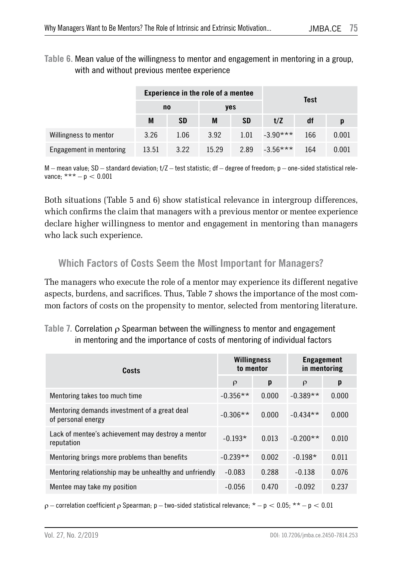**Table 6.** Mean value of the willingness to mentor and engagement in mentoring in a group, with and without previous mentee experience

|                         |       | Experience in the role of a mentee |       |           |            |     |       |
|-------------------------|-------|------------------------------------|-------|-----------|------------|-----|-------|
|                         |       | no                                 | yes   |           | Test       |     |       |
|                         | M     | <b>SD</b>                          | M     | <b>SD</b> | t/Z        | df  |       |
| Willingness to mentor   | 3.26  | 1.06                               | 3.92  | 1.01      | $-3.90***$ | 166 | 0.001 |
| Engagement in mentoring | 13.51 | 3.22                               | 15.29 | 2.89      | $-3.56***$ | 164 | 0.001 |

 $M$  – mean value; SD – standard deviation;  $t/Z$  – test statistic; df – degree of freedom;  $p$  – one-sided statistical relevance;  $*** - p < 0.001$ 

Both situations (Table 5 and 6) show statistical relevance in intergroup differences, which confirms the claim that managers with a previous mentor or mentee experience declare higher willingness to mentor and engagement in mentoring than managers who lack such experience.

### **Which Factors of Costs Seem the Most Important for Managers?**

The managers who execute the role of a mentor may experience its different negative aspects, burdens, and sacrifices. Thus, Table 7 shows the importance of the most common factors of costs on the propensity to mentor, selected from mentoring literature.

**Table 7.** Correlation ρ Spearman between the willingness to mentor and engagement in mentoring and the importance of costs of mentoring of individual factors

| Costs                                                              | Willingness<br>to mentor |       | <b>Engagement</b><br>in mentoring |       |
|--------------------------------------------------------------------|--------------------------|-------|-----------------------------------|-------|
|                                                                    | $\rho$                   | p     | $\rho$                            | p     |
| Mentoring takes too much time                                      | $-0.356**$               | 0.000 | $-0.389**$                        | 0.000 |
| Mentoring demands investment of a great deal<br>of personal energy | $-0.306**$               | 0.000 | $-0.434**$                        | 0.000 |
| Lack of mentee's achievement may destroy a mentor<br>reputation    | $-0.193*$                | 0.013 | $-0.200**$                        | 0.010 |
| Mentoring brings more problems than benefits                       | $-0.239**$               | 0.002 | $-0.198*$                         | 0.011 |
| Mentoring relationship may be unhealthy and unfriendly             | $-0.083$                 | 0.288 | $-0.138$                          | 0.076 |
| Mentee may take my position                                        | $-0.056$                 | 0.470 | $-0.092$                          | 0.237 |

ρ – correlation coefficient ρ Spearman; p – two-sided statistical relevance; \* – p < 0.05; \* \* – p < 0.01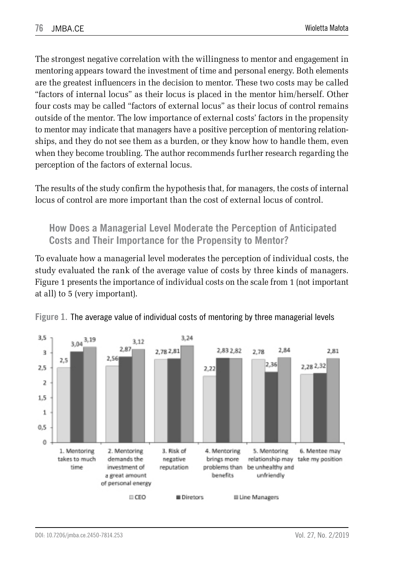The strongest negative correlation with the willingness to mentor and engagement in mentoring appears toward the investment of time and personal energy. Both elements are the greatest influencers in the decision to mentor. These two costs may be called "factors of internal locus" as their locus is placed in the mentor him/herself. Other four costs may be called "factors of external locus" as their locus of control remains outside of the mentor. The low importance of external costs' factors in the propensity to mentor may indicate that managers have a positive perception of mentoring relationships, and they do not see them as a burden, or they know how to handle them, even when they become troubling. The author recommends further research regarding the perception of the factors of external locus.

The results of the study confirm the hypothesis that, for managers, the costs of internal locus of control are more important than the cost of external locus of control.

### **How Does a Managerial Level Moderate the Perception of Anticipated Costs and Their Importance for the Propensity to Mentor?**

To evaluate how a managerial level moderates the perception of individual costs, the study evaluated the rank of the average value of costs by three kinds of managers. Figure 1 presents the importance of individual costs on the scale from 1 (not important at all) to 5 (very important).



**Figure 1.** The average value of individual costs of mentoring by three managerial levels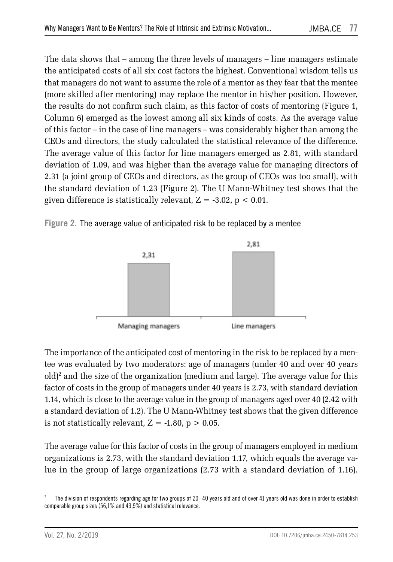The data shows that – among the three levels of managers – line managers estimate the anticipated costs of all six cost factors the highest. Conventional wisdom tells us that managers do not want to assume the role of a mentor as they fear that the mentee (more skilled after mentoring) may replace the mentor in his/her position. However, the results do not confirm such claim, as this factor of costs of mentoring (Figure 1, Column 6) emerged as the lowest among all six kinds of costs. As the average value of this factor – in the case of line managers – was considerably higher than among the CEOs and directors, the study calculated the statistical relevance of the difference. The average value of this factor for line managers emerged as 2.81, with standard deviation of 1.09, and was higher than the average value for managing directors of 2.31 (a joint group of CEOs and directors, as the group of CEOs was too small), with the standard deviation of 1.23 (Figure 2). The U Mann-Whitney test shows that the given difference is statistically relevant,  $Z = -3.02$ ,  $p < 0.01$ .





The importance of the anticipated cost of mentoring in the risk to be replaced by a mentee was evaluated by two moderators: age of managers (under 40 and over 40 years  $\delta$ old)<sup>2</sup> and the size of the organization (medium and large). The average value for this factor of costs in the group of managers under 40 years is 2.73, with standard deviation 1.14, which is close to the average value in the group of managers aged over 40 (2.42 with a standard deviation of 1.2). The U Mann-Whitney test shows that the given difference is not statistically relevant,  $Z = -1.80$ ,  $p > 0.05$ .

The average value for this factor of costs in the group of managers employed in medium organizations is 2.73, with the standard deviation 1.17, which equals the average value in the group of large organizations (2.73 with a standard deviation of 1.16).

<sup>&</sup>lt;sup>2</sup> The division of respondents regarding age for two groups of 20–40 years old and of over 41 years old was done in order to establish comparable group sizes (56,1% and 43,9%) and statistical relevance.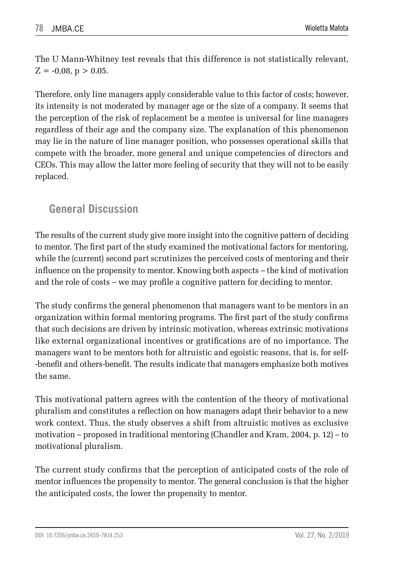The U Mann-Whitney test reveals that this difference is not statistically relevant,  $Z = -0.08$ ,  $p > 0.05$ .

Therefore, only line managers apply considerable value to this factor of costs; however, its intensity is not moderated by manager age or the size of a company. It seems that the perception of the risk of replacement be a mentee is universal for line managers regardless of their age and the company size. The explanation of this phenomenon may lie in the nature of line manager position, who possesses operational skills that compete with the broader, more general and unique competencies of directors and CEOs. This may allow the latter more feeling of security that they will not to be easily replaced.

## **General Discussion**

The results of the current study give more insight into the cognitive pattern of deciding to mentor. The first part of the study examined the motivational factors for mentoring, while the (current) second part scrutinizes the perceived costs of mentoring and their influence on the propensity to mentor. Knowing both aspects – the kind of motivation and the role of costs – we may profile a cognitive pattern for deciding to mentor.

The study confirms the general phenomenon that managers want to be mentors in an organization within formal mentoring programs. The first part of the study confirms that such decisions are driven by intrinsic motivation, whereas extrinsic motivations like external organizational incentives or gratifications are of no importance. The managers want to be mentors both for altruistic and egoistic reasons, that is, for self- -benefit and others-benefit. The results indicate that managers emphasize both motives the same.

This motivational pattern agrees with the contention of the theory of motivational pluralism and constitutes a reflection on how managers adapt their behavior to a new work context. Thus, the study observes a shift from altruistic motives as exclusive motivation – proposed in traditional mentoring (Chandler and Kram, 2004, p. 12) – to motivational pluralism.

The current study confirms that the perception of anticipated costs of the role of mentor influences the propensity to mentor. The general conclusion is that the higher the anticipated costs, the lower the propensity to mentor.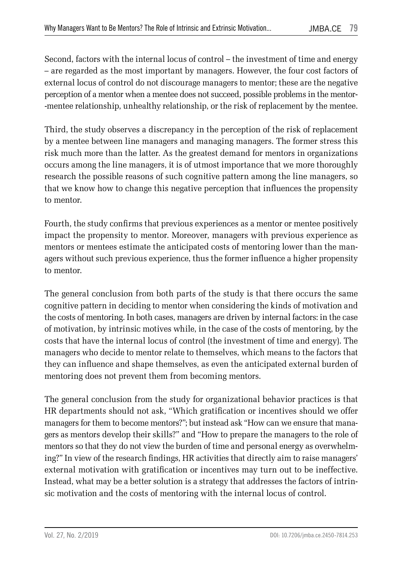Second, factors with the internal locus of control – the investment of time and energy – are regarded as the most important by managers. However, the four cost factors of external locus of control do not discourage managers to mentor; these are the negative perception of a mentor when a mentee does not succeed, possible problems in the mentor- -mentee relationship, unhealthy relationship, or the risk of replacement by the mentee.

Third, the study observes a discrepancy in the perception of the risk of replacement by a mentee between line managers and managing managers. The former stress this risk much more than the latter. As the greatest demand for mentors in organizations occurs among the line managers, it is of utmost importance that we more thoroughly research the possible reasons of such cognitive pattern among the line managers, so that we know how to change this negative perception that influences the propensity to mentor.

Fourth, the study confirms that previous experiences as a mentor or mentee positively impact the propensity to mentor. Moreover, managers with previous experience as mentors or mentees estimate the anticipated costs of mentoring lower than the managers without such previous experience, thus the former influence a higher propensity to mentor.

The general conclusion from both parts of the study is that there occurs the same cognitive pattern in deciding to mentor when considering the kinds of motivation and the costs of mentoring. In both cases, managers are driven by internal factors: in the case of motivation, by intrinsic motives while, in the case of the costs of mentoring, by the costs that have the internal locus of control (the investment of time and energy). The managers who decide to mentor relate to themselves, which means to the factors that they can influence and shape themselves, as even the anticipated external burden of mentoring does not prevent them from becoming mentors.

The general conclusion from the study for organizational behavior practices is that HR departments should not ask, "Which gratification or incentives should we offer managers for them to become mentors?"; but instead ask "How can we ensure that managers as mentors develop their skills?" and "How to prepare the managers to the role of mentors so that they do not view the burden of time and personal energy as overwhelming?" In view of the research findings, HR activities that directly aim to raise managers' external motivation with gratification or incentives may turn out to be ineffective. Instead, what may be a better solution is a strategy that addresses the factors of intrinsic motivation and the costs of mentoring with the internal locus of control.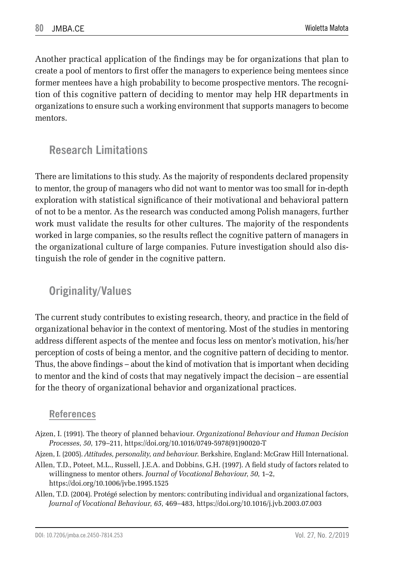Another practical application of the findings may be for organizations that plan to create a pool of mentors to first offer the managers to experience being mentees since former mentees have a high probability to become prospective mentors. The recognition of this cognitive pattern of deciding to mentor may help HR departments in organizations to ensure such a working environment that supports managers to become mentors.

## **Research Limitations**

There are limitations to this study. As the majority of respondents declared propensity to mentor, the group of managers who did not want to mentor was too small for in-depth exploration with statistical significance of their motivational and behavioral pattern of not to be a mentor. As the research was conducted among Polish managers, further work must validate the results for other cultures. The majority of the respondents worked in large companies, so the results reflect the cognitive pattern of managers in the organizational culture of large companies. Future investigation should also distinguish the role of gender in the cognitive pattern.

### **Originality/Values**

The current study contributes to existing research, theory, and practice in the field of organizational behavior in the context of mentoring. Most of the studies in mentoring address different aspects of the mentee and focus less on mentor's motivation, his/her perception of costs of being a mentor, and the cognitive pattern of deciding to mentor. Thus, the above findings – about the kind of motivation that is important when deciding to mentor and the kind of costs that may negatively impact the decision – are essential for the theory of organizational behavior and organizational practices.

#### **References**

- Ajzen, I. (1991). The theory of planned behaviour. *Organizational Behaviour and Human Decision Processes*, *50*, 179–211, https://doi.org/10.1016/0749-5978(91)90020-T
- Ajzen, I. (2005). *Attitudes, personality, and behaviour*. Berkshire, England: McGraw Hill International.
- Allen, T.D., Poteet, M.L., Russell, J.E.A. and Dobbins, G.H. (1997). A field study of factors related to willingness to mentor others. *Journal of Vocational Behaviour*, *50*, 1–2, https://doi.org/10.1006/jvbe.1995.1525
- Allen, T.D. (2004). Protégé selection by mentors: contributing individual and organizational factors, *Journal of Vocational Behaviour*, *65*, 469–483, https://doi.org/10.1016/j.jvb.2003.07.003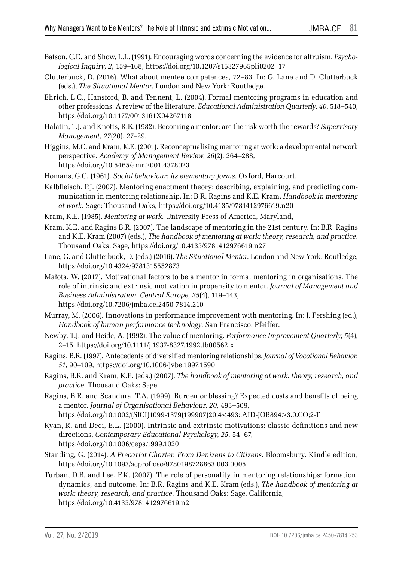- Batson, C.D. and Show, L.L. (1991). Encouraging words concerning the evidence for altruism, *Psychological Inquiry*, *2*, 159–168, https://doi.org/10.1207/s15327965pli0202\_17
- Clutterbuck, D. (2016). What about mentee competences, 72–83. In: G. Lane and D. Clutterbuck (eds.), *The Situational Mentor*. London and New York: Routledge.
- Ehrich, L.C., Hansford, B. and Tennent, L. (2004). Formal mentoring programs in education and other professions: A review of the literature. *Educational Administration Quarterly*, *40*, 518–540, https://doi.org/10.1177/0013161X04267118
- Halatin, T.J. and Knotts, R.E. (1982). Becoming a mentor: are the risk worth the rewards? *Supervisory Management*, *27*(20), 27–29.
- Higgins, M.C. and Kram, K.E. (2001). Reconceptualising mentoring at work: a developmental network perspective. *Academy of Management Review*, *26*(2), 264–288, https://doi.org/10.5465/amr.2001.4378023
- Homans, G.C. (1961). *Social behaviour: its elementary forms*. Oxford, Harcourt.
- Kalbfleisch, P.J. (2007). Mentoring enactment theory: describing, explaining, and predicting communication in mentoring relationship. In: B.R. Ragins and K.E. Kram, *Handbook in mentoring at work*. Sage: Thousand Oaks, https://doi.org/10.4135/9781412976619.n20
- Kram, K.E. (1985). *Mentoring at work*. University Press of America, Maryland,
- Kram, K.E. and Ragins B.R. (2007). The landscape of mentoring in the 21st century. In: B.R. Ragins and K.E. Kram (2007) (eds.), *The handbook of mentoring at work: theory, research, and practice*. Thousand Oaks: Sage, https://doi.org/10.4135/9781412976619.n27
- Lane, G. and Clutterbuck, D. (eds.) (2016). *The Situational Mentor*. London and New York: Routledge, https://doi.org/10.4324/9781315552873
- Małota, W. (2017). Motivational factors to be a mentor in formal mentoring in organisations. The role of intrinsic and extrinsic motivation in propensity to mentor. *Journal of Management and Business Administration. Central Europe*, *25*(4), 119–143, https://doi.org/10.7206/jmba.ce.2450-7814.210
- Murray, M. (2006). Innovations in performance improvement with mentoring. In: J. Pershing (ed.), *Handbook of human performance technology*. San Francisco: Pfeiffer.
- Newby, T.J. and Heide, A. (1992). The value of mentoring. *Performance Improvement Quarterly*, *5*(4), 2–15, https://doi.org/10.1111/j.1937-8327.1992.tb00562.x
- Ragins, B.R. (1997). Antecedents of diversified mentoring relationships. *Journal of Vocational Behavior*, *51*, 90–109, https://doi.org/10.1006/jvbe.1997.1590
- Ragins, B.R. and Kram, K.E. (eds.) (2007), *The handbook of mentoring at work: theory, research, and practice*. Thousand Oaks: Sage.
- Ragins, B.R. and Scandura, T.A. (1999). Burden or blessing? Expected costs and benefits of being a mentor. *Journal of Organisational Behaviour*, *20*, 493–509, https://doi.org/10.1002/(SICI)1099-1379(199907)20:4<493::AID-JOB894>3.0.CO;2-T
- Ryan, R. and Deci, E.L. (2000). Intrinsic and extrinsic motivations: classic definitions and new directions, *Contemporary Educational Psychology*, *25*, 54–67, https://doi.org/10.1006/ceps.1999.1020
- Standing, G. (2014). *A Precariat Charter. From Denizens to Citizens*. Bloomsbury. Kindle edition, https://doi.org/10.1093/acprof:oso/9780198728863.003.0005
- Turban, D.B. and Lee, F.K. (2007). The role of personality in mentoring relationships: formation, dynamics, and outcome. In: B.R. Ragins and K.E. Kram (eds.), *The handbook of mentoring at work: theory, research, and practice*. Thousand Oaks: Sage, California, https://doi.org/10.4135/9781412976619.n2